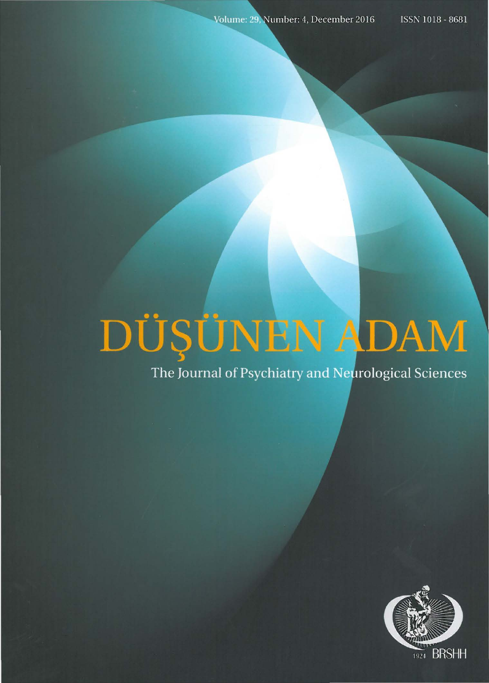# DÜŞÜNEN ADAM

The Journal of Psychiatry and Neurological Sciences

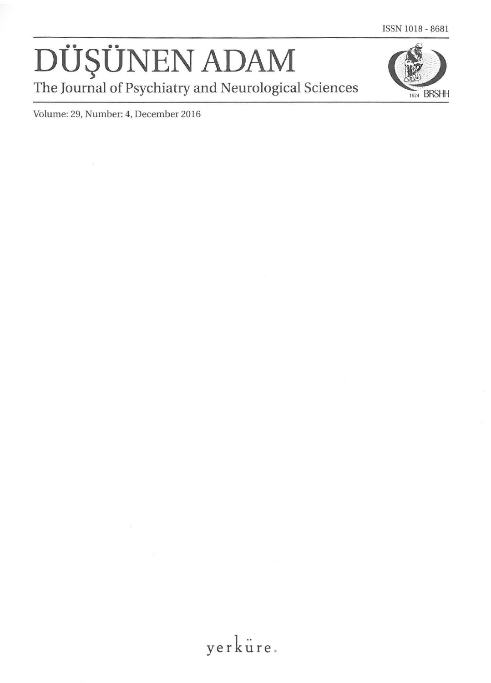### DÜŞÜNEN ADAM The Journal of Psychiatry and Neurological Sciences



Volume: 29, Number: 4, December 2016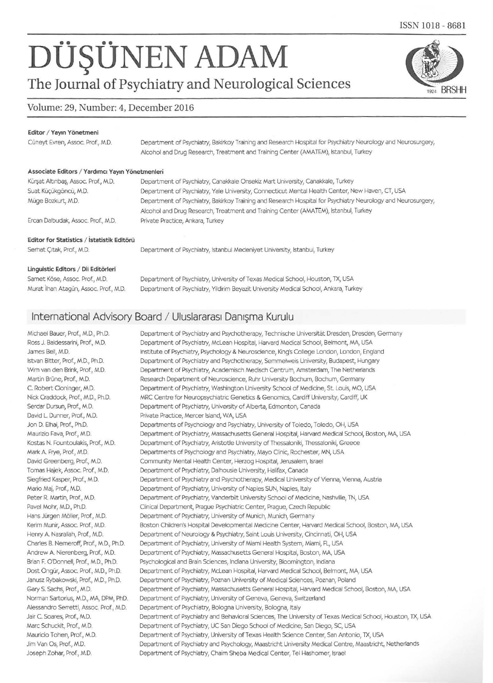## DÜŞÜNEN ADAM

The Journal of Psychiatry and Neurological Sciences

#### Volume: 29, Number: 4, December 2016

#### Editor / Yayın Yönetmeni

Cüneyt Evren, Assoc. Prof., M.D. Department of Psychiatry, Bakirkoy Training and Research Hospital for Psychiatry Neurology and Neurosurgery, Alcohol and Drug Research, Treatment and Training Center (AMATEM), Istanbul, Turkey

#### Associate Editors / Yardımcı Yayın Yönetmenleri

| Kürşat Altınbaş, Assoc. Prof., M.D.                                                                                                                                                                                               | Department of Psychiatry, Canakkale Onsekiz Mart University, Canakkale, Turkey                               |
|-----------------------------------------------------------------------------------------------------------------------------------------------------------------------------------------------------------------------------------|--------------------------------------------------------------------------------------------------------------|
| Suat Küçükgöncü, M.D.                                                                                                                                                                                                             | Department of Psychiatry, Yale University, Connecticut Mental Health Center, New Haven, CT, USA              |
| Müge Bozkurt, M.D.                                                                                                                                                                                                                | Department of Psychiatry, Bakirkoy Training and Research Hospital for Psychiatry Neurology and Neurosurgery, |
|                                                                                                                                                                                                                                   | Alcohol and Drug Research, Treatment and Training Center (AMATEM), Istanbul, Turkey                          |
| Ercan Dalbudak, Assoc. Prof., M.D.                                                                                                                                                                                                | Private Practice, Ankara, Turkey                                                                             |
| Editor for Statistics / İstatistik Editörü                                                                                                                                                                                        |                                                                                                              |
| Serhat Citak, Prof., M.D.                                                                                                                                                                                                         | Department of Psychiatry, Istanbul Medeniyet University, Istanbul, Turkey                                    |
| $\mathbf{a}$ . The second contract of the second contract of the second contract of the second contract of the second contract of the second contract of the second contract of the second contract of the second contract of the |                                                                                                              |

#### Linguistic Editors / Dil Editörleri

| Samet Köse, Assoc. Prof., M.D.         | Department of Psychiatry, University of Texas Medical School, Houston, TX, USA       |
|----------------------------------------|--------------------------------------------------------------------------------------|
| Murat Ilhan Atagün, Assoc. Prof., M.D. | Department of Psychiatry, Yildirim Beyazit University Medical School, Ankara, Turkey |

#### International Advisory Board / Uluslararası Danısma Kurulu

Michael Bauer, Prof., M.D., Ph.D. Department of Psychiatry and Psychotherapy, Technische Universität Dresden, Dresden, Germany Department of Psychiatry, McLean Hospital, Harvard Medical School, Belmont, MA, USA Ross J. Baldessarini, Prof., M.D. James Bell, M.D. Institute of Psychiatry, Psychology & Neuroscience, King's College London, London, England Istvan Bitter, Prof., M.D., Ph.D. Department of Psychiatry and Psychotherapy, Semmelweis University, Budapest, Hungary Wim van den Brink, Prof., M.D. Department of Psychiatry, Academisch Medisch Centrum, Amsterdam, The Netherlands Martin Brüne, Prof., M.D. Research Department of Neuroscience, Ruhr University Bochum, Bochum, Germany C. Robert Cloninger, M.D. Department of Psychiatry, Washington University School of Medicine, St. Louis, MO, USA Nick Craddock, Prof., M.D., Ph.D. MRC Centre for Neuropsychiatric Genetics & Genomics, Cardiff University, Cardiff, UK Serdar Dursun, Prof., M.D. Department of Psychiatry, University of Alberta, Edmonton, Canada David L. Dunner, Prof., M.D. Private Practice, Mercer Island, WA, USA Jon D. Elhai, Prof., Ph.D. Departments of Psychology and Psychiatry, University of Toledo, Toledo, OH, USA Maurizio Fava, Prof., M.D. Department of Psychiatry, Massachusetts General Hospital, Harvard Medical School, Boston, MA, USA Kostas N. Fountoulakis, Prof., M.D. Department of Psychiatry, Aristotle University of Thessaloniki, Thessaloniki, Greece Mark A. Frye, Prof., M.D. Departments of Psychology and Psychiatry, Mayo Clinic, Rochester, MN, USA David Greenberg, Prof., M.D. Community Mental Health Center, Herzog Hospital, Jerusalem, Israel Tomas Hajek, Assoc. Prof., M.D. Department of Psychiatry, Dalhousie University, Halifax, Canada Department of Psychiatry and Psychotherapy, Medical University of Vienna, Vienna, Austria Siegfried Kasper, Prof., M.D. Mario Maj, Prof., M.D. Department of Psychiatry, University of Naples SUN, Naples, Italy Peter R. Martin, Prof., M.D. Department of Psychiatry, Vanderbilt University School of Medicine, Nashville, TN, USA Pavel Mohr, M.D., Ph.D. Clinical Department, Prague Psychiatric Center, Prague, Czech Republic Hans Jürgen Möller, Prof., M.D. Department of Psychiatry, University of Munich, Munich, Germany Kerim Munir, Assoc. Prof., M.D. Boston Children's Hospital Developmental Medicine Center, Harvard Medical School, Boston, MA, USA Henry A. Nasrallah, Prof., M.D. Department of Neurology & Psychiatry, Saint Louis University, Cincinnati, OH, USA Charles B. Nemeroff, Prof., M.D., Ph.D. Department of Psychiatry, University of Miami Health System, Miami, FL, USA Andrew A. Nierenberg, Prof., M.D. Department of Psychiatry, Massachusetts General Hospital, Boston, MA, USA Brian F. O'Donnell, Prof., M.D., Ph.D. Psychological and Brain Sciences, Indiana University, Bloomington, Indiana Dost Öngür, Assoc. Prof., M.D., Ph.D. Department of Psychiatry, McLean Hospital, Harvard Medical School, Belmont, MA, USA Janusz Rybakowski, Prof., M.D., Ph.D. Department of Psychiatry, Poznan University of Medical Sciences, Poznan, Poland Gary S. Sachs, Prof., M.D. Department of Psychiatry, Massachusetts General Hospital, Harvard Medical School, Boston, MA, USA Norman Sartorius, M.D., MA, DPM, PhD. Department of Psychiatry, University of Geneva, Geneva, Switzerland Alessandro Serretti, Assoc. Prof., M.D. Department of Psychiatry, Bologna University, Bologna, Italy Jair C. Soares, Prof., M.D. Department of Psychiatry and Behavioral Sciences, The University of Texas Medical School, Houston, TX, USA Department of Psychiatry, UC San Diego School of Medicine, San Diego, SC, USA Marc Schuckit, Prof., M.D. Mauricio Tohen, Prof., M.D. Department of Psychiatry, University of Texas Health Science Center, San Antonio, TX, USA Jim Van Os, Prof., M.D. Department of Psychiatry and Psychology, Maastricht University Medical Centre, Maastricht, Netherlands Joseph Zohar, Prof., M.D. Department of Psychiatry, Chaim Sheba Medical Center, Tel Hashomer, Israel

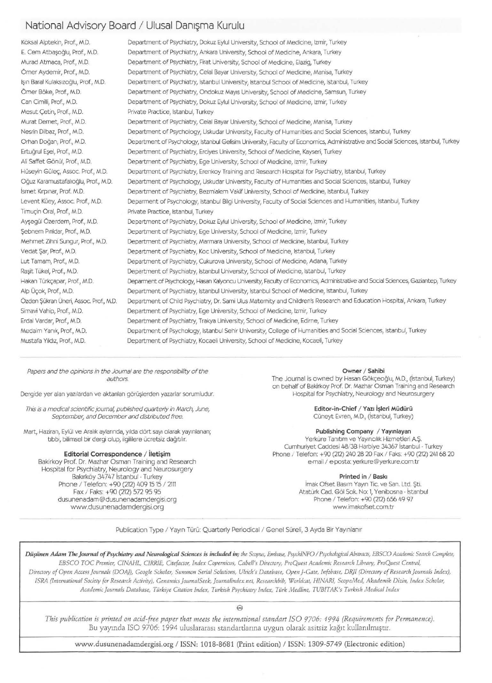#### National Advisory Board / Ulusal Danışma Kurulu

Köksal Alptekin, Prof., M.D. Department of Psychiatry, Dokuz Eylul University, School of Medicine, Izmir, Turkey E. Cem Atbasoğlu, Prof., M.D. Department of Psychiatry, Ankara University, School of Medicine, Ankara, Turkey Murad Atmaca, Prof., M.D. Department of Psychiatry, Firat University, School of Medicine, Elazig, Turkey Ömer Aydemir, Prof., M.D. Department of Psychiatry, Celal Bayar University, School of Medicine, Manisa, Turkey Isin Baral Kulaksizoğlu, Prof., M.D. Department of Psychiatry, Istanbul University, Istanbul School of Medicine, Istanbul, Turkey Department of Psychiatry, Ondokuz Mayıs University, School of Medicine, Samsun, Turkey Ömer Böke, Prof., M.D. Can Cimilli, Prof., M.D. Department of Psychiatry, Dokuz Eylul University, School of Medicine, Izmir, Turkey Mesut Cetin, Prof., M.D. Private Practice, Istanbul, Turkey Murat Demet, Prof., M.D. Department of Psychiatry, Celal Bayar University, School of Medicine, Manisa, Turkey Nesrin Dilbaz, Prof., M.D. Department of Psychology, Uskudar University, Faculty of Humanities and Social Sciences, Istanbul, Turkey Orhan Doğan, Prof., M.D. Department of Psychology, Istanbul Gelisim University, Faculty of Economics, Administrative and Social Sciences, Istanbul, Turkey Ertuğrul Esel, Prof., M.D. Department of Psychiatry, Erciyes University, School of Medicine, Kayseri, Turkey Ali Saffet Gönül, Prof., M.D. Department of Psychiatry, Ege University, School of Medicine, Izmir, Turkey Hüseyin Gülec, Assoc. Prof., M.D. Department of Psychiatry, Erenkoy Training and Research Hospital for Psychiatry, Istanbul, Turkey Oğuz Karamustafalıoğlu, Prof., M.D. Department of Psychology, Uskudar University, Faculty of Humanities and Social Sciences, Istanbul, Turkey İsmet Kırpınar, Prof. M.D. Department of Psychiatry, Bezmialem Vakif University, School of Medicine, Istanbul, Turkey Levent Küey, Assoc. Prof., M.D. Deparment of Psychology, Istanbul Bilgi University, Faculty of Social Sciences and Humanities, Istanbul, Turkey Timucin Oral, Prof., M.D. Private Practice, Istanbul, Turkey Aysegül Özerdem, Prof., M.D. Department of Psychiatry, Dokuz Eylul University, School of Medicine, Izmir, Turkey Sebnem Pinldar, Prof., M.D. Department of Psychiatry, Ege University, School of Medicine, Izmir, Turkey Mehmet Zihni Sungur, Prof., M.D. Department of Psychiatry, Marmara University, School of Medicine, Istanbul, Turkey Vedat Sar, Prof., M.D. Department of Psychiatry, Koc University, School of Medicine, Istanbul, Turkey Lut Tamam, Prof., M.D. Department of Psychiatry, Cukurova University, School of Medicine, Adana, Turkey Rasit Tükel, Prof., M.D. Department of Psychiatry, Istanbul University, School of Medicine, Istanbul, Turkey Hakan Türkçapar, Prof., M.D. Deparment of Psychology, Hasan Kalyoncu University, Faculty of Economics, Administrative and Social Sciences, Gaziantep, Turkey Alp Üçok, Prof., M.D. Department of Psychiatry, Istanbul University, Istanbul School of Medicine, Istanbul, Turkey Özden Şükran Üneri, Assoc. Prof., M.D. Department of Child Psychiatry, Dr. Sami Ulus Maternity and Children's Research and Education Hospital, Ankara, Turkey Simavi Vahip, Prof., M.D. Department of Psychiatry, Ege University, School of Medicine, Izmir, Turkey Erdal Vardar, Prof., M.D. Department of Psychiatry, Trakya University, School of Medicine, Edirne, Turkey Medaim Yanık, Prof., M.D. Department of Psychology, Istanbul Sehir University, College of Humanities and Social Sciences, Istanbul, Turkey Mustafa Yıldız, Prof., M.D. Department of Psychiatry, Kocaeli University, School of Medicine, Kocaeli, Turkey

Papers and the opinions in the Journal are the responsibility of the authors.

Dergide yer alan yazılardan ve aktarılan görüşlerden yazarlar sorumludur.

This is a medical scientific journal, published quarterly in March, June,

September, and December and distributed free. Mart, Haziran, Eylül ve Aralık aylarında, yılda dört sayı olarak yayınlanan;

tıbbi, bilimsel bir dergi olup, ilgililere ücretsiz dağıtılır.

Editorial Correspondence / İletişim

Bakirkoy Prof. Dr. Mazhar Osman Training and Research

Hospital for Psychiatry, Neurology and Neurosurgery Bakırköy 34747 İstanbul - Turkey

Phone / Telefon: +90 (212) 409 15 15 / 2111

Fax / Faks: +90 (212) 572 95 95

dusunenadam@dusunenadamdergisi.org www.dusunenadamdergisi.org

Owner / Sahibi

The Journal is owned by Hasan Gökçeoğlu, M.D., (İstanbul, Turkey) on behalf of Bakirkoy Prof. Dr. Mazhar Osman Training and Research Hospital for Psychiatry, Neurology and Neurosurgery

Editor-in-Chief / Yazı İşleri Müdürü

Cüneyt Evren, M.D., (İstanbul, Turkey)

#### Publishing Company / Yayınlayan

Yerküre Tanıtım ve Yayıncılık Hizmetleri A.S. Cumhuriyet Caddesi 48/3B Harbiye 34367 İstanbul - Turkey Phone / Telefon: +90 (212) 240 28 20 Fax / Faks: +90 (212) 241 68 20 e-mail / e-posta: yerkure@yerkure.com.tr

#### Printed in / Baskı

İmak Ofset Basım Yayın Tic. ve San. Ltd. Sti. Atatürk Cad. Göl Sok. No: 1, Yenibosna - İstanbul Phone / Telefon: +90 (212) 656 49 97 www.imakofset.com.tr

Publication Type / Yayın Türü: Quarterly Periodical / Genel Süreli, 3 Ayda Bir Yayınlanır

Düşünen Adam The Journal of Psychiatry and Neurological Sciences is included in; the Scopus, Embase, PsychlNFO / Psychological Abstracts, EBSCO Academic Search Complete, EBSCO TOC Premier, CINAHL, CIRRIE, Citefactor, Index Copernicus, Cabell's Directory, ProQuest Academic Research Library, ProQuest Central, Directory of Open Access Journals (DOAJ), Google Scholar, Summon Serial Solutions, Ulrich's Database, Open J-Gate, Infobase, DRJI (Directory of Research Journals Index), ISRA (International Society for Research Activity), Genamics JournalSeek, Journalindex.net, Researchbib, Worldcat, HINARI, ScopeMed, Akademik Dizin, Index Scholar, Academic Journals Database, Türkiye Citation Index, Turkish Psychiatry Index, Türk Medline, TUBITAK's Turkish Medical Index

 $\omega$ 

This publication is printed on acid-free paper that meets the international standart ISO 9706: 1994 (Requirements for Permanence). Bu yayında ISO 9706: 1994 uluslararası standartlarına uygun olarak asitsiz kağıt kullanılmıştır.

www.dusunenadamdergisi.org / ISSN: 1018-8681 (Print edition) / ISSN: 1309-5749 (Electronic edition)